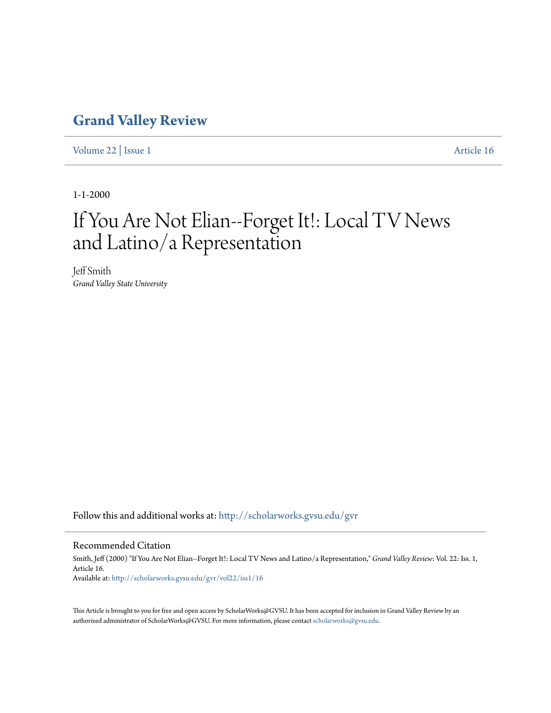## **[Grand Valley Review](http://scholarworks.gvsu.edu/gvr?utm_source=scholarworks.gvsu.edu%2Fgvr%2Fvol22%2Fiss1%2F16&utm_medium=PDF&utm_campaign=PDFCoverPages)**

[Volume 22](http://scholarworks.gvsu.edu/gvr/vol22?utm_source=scholarworks.gvsu.edu%2Fgvr%2Fvol22%2Fiss1%2F16&utm_medium=PDF&utm_campaign=PDFCoverPages) | [Issue 1](http://scholarworks.gvsu.edu/gvr/vol22/iss1?utm_source=scholarworks.gvsu.edu%2Fgvr%2Fvol22%2Fiss1%2F16&utm_medium=PDF&utm_campaign=PDFCoverPages) [Article 16](http://scholarworks.gvsu.edu/gvr/vol22/iss1/16?utm_source=scholarworks.gvsu.edu%2Fgvr%2Fvol22%2Fiss1%2F16&utm_medium=PDF&utm_campaign=PDFCoverPages)

1-1-2000

## If You Are Not Elian--Forget It!: Local TV News and Latino/a Representation

Jeff Smith *Grand Valley State University*

Follow this and additional works at: [http://scholarworks.gvsu.edu/gvr](http://scholarworks.gvsu.edu/gvr?utm_source=scholarworks.gvsu.edu%2Fgvr%2Fvol22%2Fiss1%2F16&utm_medium=PDF&utm_campaign=PDFCoverPages)

## Recommended Citation

Smith, Jeff (2000) "If You Are Not Elian--Forget It!: Local TV News and Latino/a Representation," *Grand Valley Review*: Vol. 22: Iss. 1, Article 16. Available at: [http://scholarworks.gvsu.edu/gvr/vol22/iss1/16](http://scholarworks.gvsu.edu/gvr/vol22/iss1/16?utm_source=scholarworks.gvsu.edu%2Fgvr%2Fvol22%2Fiss1%2F16&utm_medium=PDF&utm_campaign=PDFCoverPages)

This Article is brought to you for free and open access by ScholarWorks@GVSU. It has been accepted for inclusion in Grand Valley Review by an authorized administrator of ScholarWorks@GVSU. For more information, please contact [scholarworks@gvsu.edu.](mailto:scholarworks@gvsu.edu)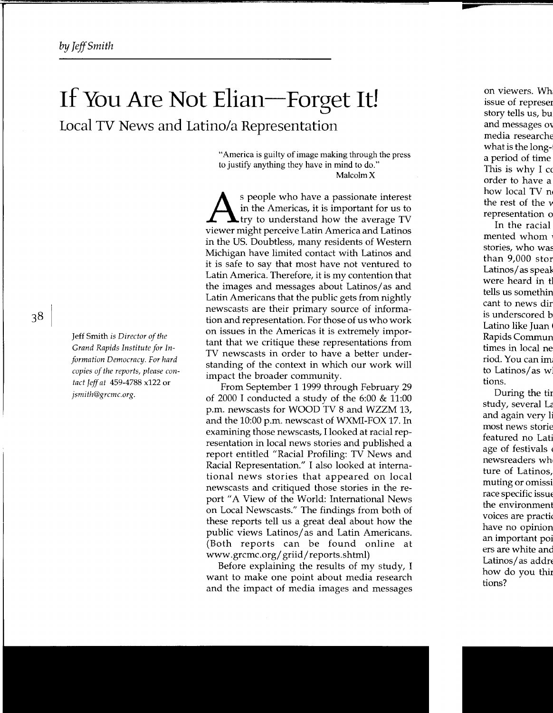## **If You Are Not Elian-Forget It! Local TV** News **and latina/a Representation**

"America is guilty of image making through the press to justify anything they have in mind to do." Malcolm X

s people who have a passionate interest in the Americas, it is important for us to try to understand how the average TV viewer might perceive Latin America and Latinos in the US. Doubtless, many residents of Western Michigan have limited contact with Latinos and it is safe to say that most have not ventured to Latin America. Therefore, it is my contention that the images and messages about Latinos/ as and Latin Americans that the public gets from nightly newscasts are their primary source of information and representation. For those of us who work on issues in the Americas it is extremely important that we critique these representations from TV newscasts in order to have a better understanding of the context in which our work will impact the broader community.

From September 1 1999 through February 29 of 2000 I conducted a study of the 6:00 & 11:00 p.m. newscasts for WOOD TV 8 and WZZM 13, and the 10:00 p.m. newscast of WXMI-FOX 17. In examining those newscasts, I looked at racial representation in local news stories and pubhshed a report entitled "Racial Profiling: TV News and Racial Representation." I also looked at international news stories that appeared on local newscasts and critiqued those stories in the report" A View of the World: International News on Local Newscasts." The findings from both of these reports tell us a great deal about how the public views Latinos/ as and Latin Americans. (Both reports can be found online at www.grcmc.org/ griid/reports.shtml)

Before explaining the results of my study, I want to make one point about media research and the impact of media images and messages

Jeff Smith *is Director of the Grand Rapids Institute for Information Democracy. For hard copies of the reports, please contact Jeff at* 459-4788 x122 or *jsmith@grcmc.org.*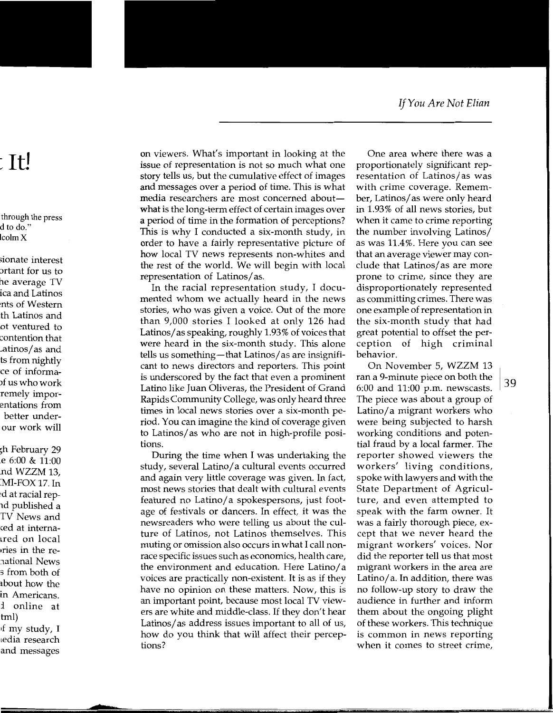on viewers. What's important in looking at the issue of representation is not so much what one story tells us, but the cumulative effect of images and messages over a period of time. This is what media researchers are most concerned aboutwhat is the long-term effect of certain images over a period of time in the formation of perceptions? This is why I conducted a six-month study, in order to have a fairly representative picture of how local TV news represents non-whites and the rest of the world. We will begin with local representation of Latinos/ as.

In the racial representation study, I documented whom we actually heard in the news stories, who was given a voice. Out of the more than 9,000 stories I looked at only 126 had Latinos/ as speaking, roughly 1.93% of voices that were heard in the six-month study. This alone tells us something—that Latinos/ as are insignificant to news directors and reporters. This point is underscored by the fact that even a prominent Latino like Juan Oliveras, the President of Grand Rapids Community College, was only heard three times in local news stories over a six-month period. You can imagine the kind of coverage given to Latinos/ as who are not in high-profile positions.

During the time when I was undertaking the study, several Latino/ a cultural events occurred and again very little coverage was given. In fact, most news stories that dealt with cultural events featured no Latino/ a spokespersons, just footage of festivals or dancers. In effect, it was the newsreaders who were telling us about the culture of Latinos, not Latinos themselves. This muting or omission also occurs in what I call nonrace specific issues such as economics, health care, the environment and education. Here Latino/ a voices are practically non-existent. It is as if they have no opinion on these matters. Now, this is an important point, because most local TV viewers are white and middle-class. If they don't hear Latinos/ as address issues important to all of us, how do you think that will affect their perceptions?

One area where there was a proportionately significant representation of Latinos/ as was with crime coverage. Remember, Latinos/ as were only heard in 1.93% of all news stories, but when it came to crime reporting the number involving Latinos/ as was 11.4%. Here you can see that an average viewer may conclude that Latinos/ as are more prone to crime, since they are disproportionately represented as committing crimes. There was one example of representation in the six-month study that had great potential to offset the perception of high criminal behavior.

On November 5, WZZM 13 ran a 9-minute piece on both the [ 6:00 and 11:00 p.m. newscasts. The piece was about a group of Latino/a migrant workers who were being subjected to harsh working conditions and potential fraud by a local farmer. The reporter showed viewers the workers' living conditions, spoke with lawyers and with the State Department of Agriculture, and even attempted to speak with the farm owner. It was a fairly thorough piece, except that we never heard the migrant workers' voices. Nor did the reporter tell us that most migrant workers in the area are Latino/a. In addition, there was no follow-up story to draw the audience in further and inform them about the ongoing plight of these workers. This technique is common in news reporting when it comes to street crime,

3 g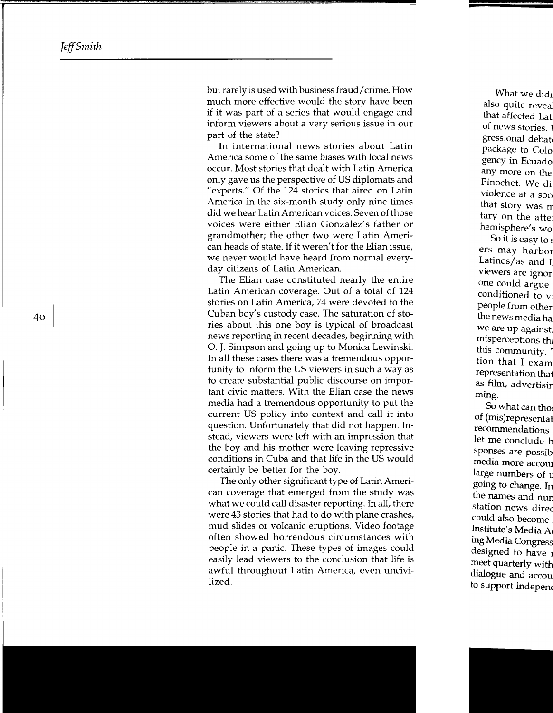but rarely is used with business fraud/ crime. How much more effective would the story have been if it was part of a series that would engage and inform viewers about a very serious issue in our part of the state?

In international news stories about Latin America some of the same biases with local news occur. Most stories that dealt with Latin America only gave us the perspective of US diplomats and "experts." Of the 124 stories that aired on Latin America in the six-month study only nine times did we hear Latin American voices. Seven of those voices were either Elian Gonzalez's father or grandmother; the other two were Latin American heads of state. If it weren't for the Elian issue, we never would have heard from normal everyday citizens of Latin American.

The Elian case constituted nearly the entire Latin American coverage. Out of a total of 124 stories on Latin America, 74 were devoted to the Cuban boy's custody case. The saturation of stories about this one boy is typical of broadcast news reporting in recent decades, beginning with 0. J. Simpson and going up to Monica Lewinski. In all these cases there was a tremendous opportunity to inform the US viewers in such a way as to create substantial public discourse on important civic matters. With the Elian case the news media had a tremendous opportunity to put the current US policy into context and call it into question. Unfortunately that did not happen. Instead, viewers were left with an impression that the boy and his mother were leaving repressive conditions in Cuba and that life in the US would certainly be better for the boy.

The only other significant type of Latin American coverage that emerged from the study was what we could call disaster reporting. In all, there were 43 stories that had to do with plane crashes, mud slides or volcanic eruptions. Video footage often showed horrendous circumstances with people in a panic. These types of images could easily lead viewers to the conclusion that life is awful throughout Latin America, even uncivilized.

40